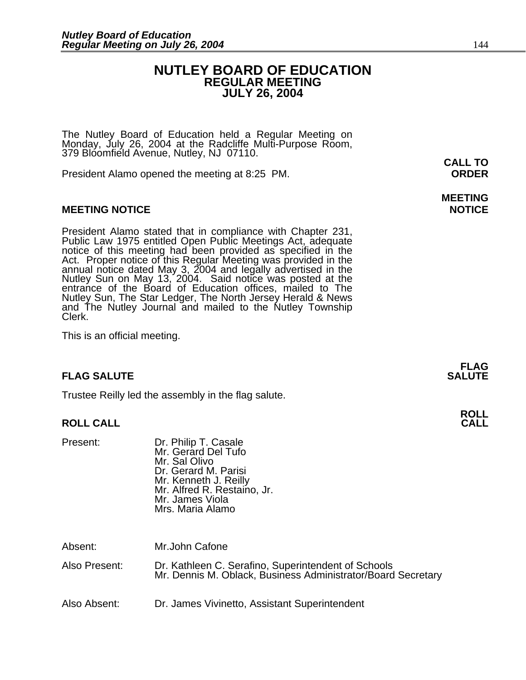### **NUTLEY BOARD OF EDUCATION REGULAR MEETING JULY 26, 2004**

The Nutley Board of Education held a Regular Meeting on Monday, July 26, 2004 at the Radcliffe Multi-Purpose Room, 379 Bloomfield Avenue, Nutley, NJ 07110.

President Alamo opened the meeting at 8:25 PM. **ORDER**

#### **MEETING NOTICE NOTICE AND INSTRUCCE**

President Alamo stated that in compliance with Chapter 231,<br>Public Law 1975 entitled Open Public Meetings Act, adequate<br>notice of this meeting had been provided as specified in the<br>Act. Proper notice of this Regular Meetin annual notice dated May 3, 2004 and legally advertised in the Nutley Sun on May 13, 2004. Said notice was posted at the entrance of the Board of Education offices, mailed to The Nutley Sun, The Star Ledger, The North Jersey Herald & News and The Nutley Journal and mailed to the Nutley Township Clerk.

This is an official meeting.

#### **FLAG SALUTE** SALUTE

Trustee Reilly led the assembly in the flag salute.

#### **ROLL CALL**

| Present:      | Dr. Philip T. Casale<br>Mr. Gerard Del Tufo<br>Mr. Sal Olivo<br>Dr. Gerard M. Parisi<br>Mr. Kenneth J. Reilly<br>Mr. Alfred R. Restaino, Jr.<br>Mr. James Viola<br>Mrs. Maria Alamo |
|---------------|-------------------------------------------------------------------------------------------------------------------------------------------------------------------------------------|
| Absent:       | Mr.John Cafone                                                                                                                                                                      |
| Also Present: | Dr. Kathleen C. Serafino, Superintendent of Schools<br>Mr. Dennis M. Oblack, Business Administrator/Board Secretary                                                                 |

Also Absent: Dr. James Vivinetto, Assistant Superintendent

**CALL TO** 

## **MEETING**

**FLAG** 

## **ROLL**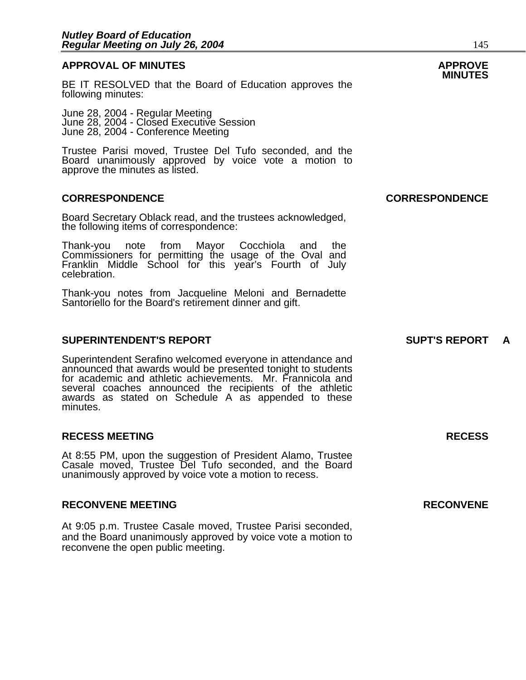### **APPROVAL OF MINUTES APPROVE**

BE IT RESOLVED that the Board of Education approves the following minutes:

 June 28, 2004 - Regular Meeting June 28, 2004 - Closed Executive Session June 28, 2004 - Conference Meeting

> Trustee Parisi moved, Trustee Del Tufo seconded, and the Board unanimously approved by voice vote a motion to approve the minutes as listed.

#### **CORRESPONDENCE CORRESPONDENCE**

Board Secretary Oblack read, and the trustees acknowledged, the following items of correspondence:

Thank-you note from Mayor Cocchiola and the Commissioners for permitting the usage of the Oval and Franklin Middle School for this year's Fourth of July celebration.

Thank-you notes from Jacqueline Meloni and Bernadette Santoriello for the Board's retirement dinner and gift.

#### **SUPERINTENDENT'S REPORT SUPT'S REPORT A**

Superintendent Serafino welcomed everyone in attendance and announced that awards would be presented tonight to students for academic and athletic achievements. Mr. Frannicola and several coaches announced the recipients of the athletic awards as stated on Schedule A as appended to these minutes.

#### **RECESS MEETING RECESS**

At 8:55 PM, upon the suggestion of President Alamo, Trustee Casale moved, Trustee Del Tufo seconded, and the Board unanimously approved by voice vote a motion to recess.

#### **RECONVENE MEETING RECONVENE**

At 9:05 p.m. Trustee Casale moved, Trustee Parisi seconded, and the Board unanimously approved by voice vote a motion to reconvene the open public meeting.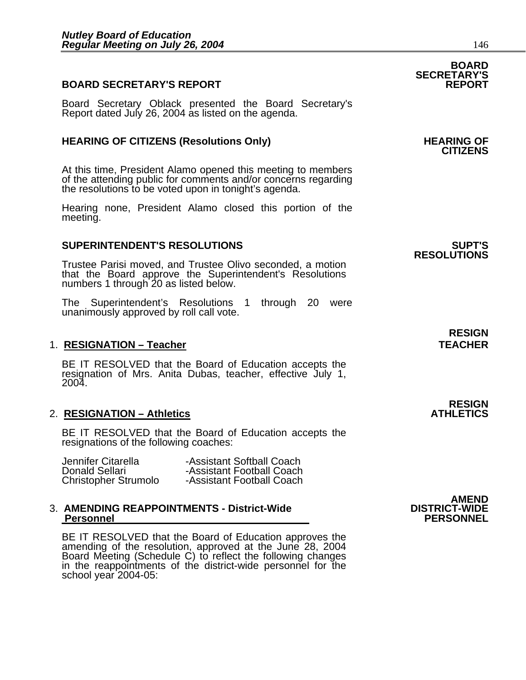### **BOARD SECRETARY'S REPORT**

Board Secretary Oblack presented the Board Secretary's Report dated July 26, 2004 as listed on the agenda.

### **HEARING OF CITIZENS (Resolutions Only) HEARING OF CITIZENS**

At this time, President Alamo opened this meeting to members of the attending public for comments and/or concerns regarding the resolutions to be voted upon in tonight's agenda.

Hearing none, President Alamo closed this portion of the meeting.

#### **SUPERINTENDENT'S RESOLUTIONS SUPT'S**

Trustee Parisi moved, and Trustee Olivo seconded, a motion that the Board approve the Superintendent's Resolutions numbers 1 through 20 as listed below.

The Superintendent's Resolutions 1 through 20 were unanimously approved by roll call vote.

#### 1. **RESIGNATION – Teacher TEACHER**

BE IT RESOLVED that the Board of Education accepts the resignation of Mrs. Anita Dubas, teacher, effective July 1, 2004.

#### **2. RESIGNATION – Athletics**

BE IT RESOLVED that the Board of Education accepts the resignations of the following coaches:

| Jennifer Citarella          | -Assistant Softball Coach |
|-----------------------------|---------------------------|
| Donald Sellari              | -Assistant Football Coach |
| <b>Christopher Strumolo</b> | -Assistant Football Coach |

## **3. AMENDING REAPPOINTMENTS - District-Wide Personnel**

BE IT RESOLVED that the Board of Education approves the amending of the resolution, approved at the June 28, 2004 Board Meeting (Schedule C) to reflect the following changes in the reappointments of the district-wide perso

### **BOARD SECRETARY'S**

## **RESOLUTIONS**

**RESIGN<br>ATHLETICS** 

**RESIGN** 

### AMEND<br>DISTRICT-WIDE  **Personnel PERSONNEL**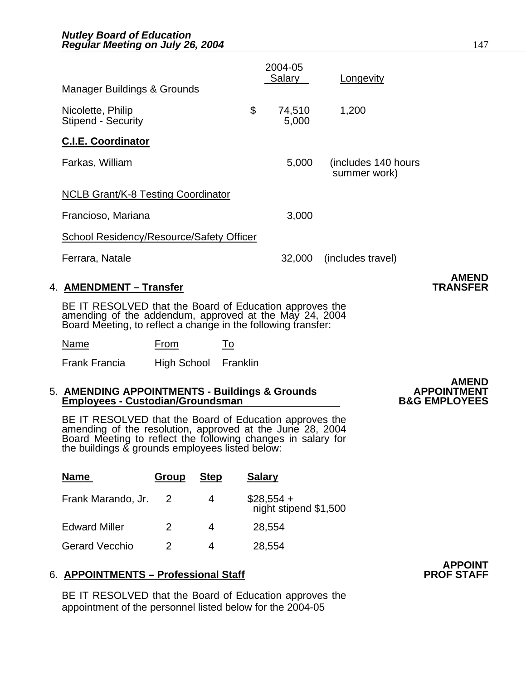|                                                                                                                                                                                    |                      |    | 2004-05<br>Salary | Longevity                           |                                 |
|------------------------------------------------------------------------------------------------------------------------------------------------------------------------------------|----------------------|----|-------------------|-------------------------------------|---------------------------------|
| <b>Manager Buildings &amp; Grounds</b>                                                                                                                                             |                      |    |                   |                                     |                                 |
| Nicolette, Philip<br><b>Stipend - Security</b>                                                                                                                                     |                      | \$ | 74,510<br>5,000   | 1,200                               |                                 |
| <b>C.I.E. Coordinator</b>                                                                                                                                                          |                      |    |                   |                                     |                                 |
| Farkas, William                                                                                                                                                                    |                      |    | 5,000             | (includes 140 hours<br>summer work) |                                 |
| <b>NCLB Grant/K-8 Testing Coordinator</b>                                                                                                                                          |                      |    |                   |                                     |                                 |
| Francioso, Mariana                                                                                                                                                                 |                      |    | 3,000             |                                     |                                 |
| <b>School Residency/Resource/Safety Officer</b>                                                                                                                                    |                      |    |                   |                                     |                                 |
| Ferrara, Natale                                                                                                                                                                    |                      |    | 32,000            | (includes travel)                   |                                 |
| 4. AMENDMENT – Transfer                                                                                                                                                            |                      |    |                   |                                     | <b>AMEND</b><br><b>TRANSFER</b> |
| BE IT RESOLVED that the Board of Education approves the<br>amending of the addendum, approved at the May 24, 2004<br>Board Meeting, to reflect a change in the following transfer: |                      |    |                   |                                     |                                 |
| Name                                                                                                                                                                               | From                 | To |                   |                                     |                                 |
| <b>Frank Francia</b>                                                                                                                                                               | High School Franklin |    |                   |                                     |                                 |
|                                                                                                                                                                                    |                      |    |                   |                                     | <b>AMENIN</b>                   |

## 5. AMENDING APPOINTMENTS - Buildings & Grounds **APPOINTMENT**<br>Employees - Custodian/Groundsman **B&G EMPLOYEES**

BE IT RESOLVED that the Board of Education approves the<br>amending of the resolution, approved at the June 28, 2004<br>Board Meeting to reflect the following changes in salary for the buildings & grounds employees listed below:

| <b>Name</b>           | Group | <b>Step</b> | <b>Salary</b>                        |
|-----------------------|-------|-------------|--------------------------------------|
| Frank Marando, Jr.    |       | 4           | $$28,554 +$<br>night stipend \$1,500 |
| <b>Edward Miller</b>  | 2     | 4           | 28,554                               |
| <b>Gerard Vecchio</b> | 2     |             | 28,554                               |

#### 6. **APPOINTMENTS - Professional Staff**

BE IT RESOLVED that the Board of Education approves the appointment of the personnel listed below for the 2004-05

# AMEND<br>APPOINTMENT

**APPOINT**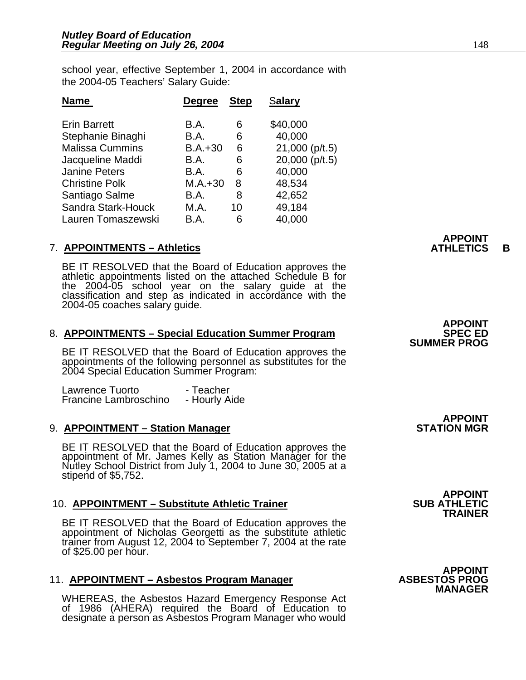school year, effective September 1, 2004 in accordance with the 2004-05 Teachers' Salary Guide:

| <b>Degree</b> | <b>Step</b> | Salary         |
|---------------|-------------|----------------|
| B.A.          | 6           | \$40,000       |
| B.A.          | 6           | 40,000         |
| $B.A.+30$     | 6           | 21,000 (p/t.5) |
| B.A.          | 6           | 20,000 (p/t.5) |
| B.A.          | 6           | 40,000         |
| $M.A.+30$     | 8           | 48,534         |
| B.A.          | 8           | 42,652         |
| M.A.          | 10          | 49,184         |
| B.A.          | 6           | 40,000         |
|               |             |                |

#### **APPOINT**  7. **APPOINTMENTS – Athletics ATHLETICS B**

BE IT RESOLVED that the Board of Education approves the athletic appointments listed on the attached Schedule B for the 2004-05 school year on the salary guide at the classification and step as indicated in accordance with the 2004-05 coaches salary guide.

# 8. **APPOINTMENTS – Special Education Summer Program SPEC ED**<br>**BE IT RESOLVED that the Board of Education approves the SUMMER PROG**

appointments of the following personnel as substitutes for the 2004 Special Education Summer Program:

Lawrence Tuorto Lawrence Tuorto - Teacher<br>Francine Lambroschino - Hourly Aide Francine Lambroschino

#### 9. **APPOINTMENT – Station Manager**

BE IT RESOLVED that the Board of Education approves the appointment of Mr. James Kelly as Station Manager for the Nutley School District from July 1, 2004 to June 30, 2005 at a stipend of \$5,752.

#### 10. **APPOINTMENT – Substitute Athletic Trainer**

BE IT RESOLVED that the Board of Education approves the appointment of Nicholas Georgetti as the substitute athletic trainer from August 12, 2004 to September 7, 2004 at the rate of \$25.00 per hour.

#### 11. **APPOINTMENT – Asbestos Program Manager**

WHEREAS, the Asbestos Hazard Emergency Response Act of 1986 (AHERA) required the Board of Education to designate a person as Asbestos Program Manager who would

 **APPOINT** 

**APPOINT<br>SUB ATHLETIC TRAINER** 

**APPOINT<br>STATION MGR** 

**APPOINT<br>ASBESTOS PROG MANAGER**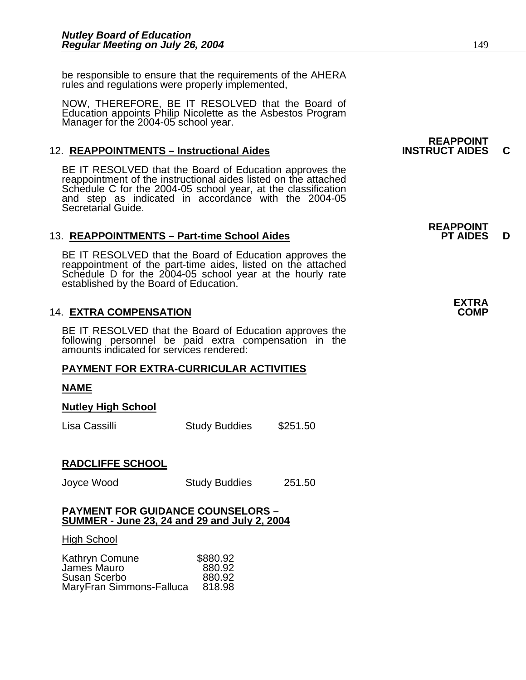be responsible to ensure that the requirements of the AHERA rules and regulations were properly implemented,

NOW, THEREFORE, BE IT RESOLVED that the Board of Education appoints Philip Nicolette as the Asbestos Program Manager for the 2004-05 school year.

### 12. **REAPPOINTMENTS – Instructional Aides INSTRUCT AIDES C**

BE IT RESOLVED that the Board of Education approves the reappointment of the instructional aides listed on the attached Schedule C for the 2004-05 school year, at the classification and step as indicated in accordance with the 2004-05 Secretarial Guide.

#### 13. **REAPPOINTMENTS – Part-time School Aides** PHAIDES D

BE IT RESOLVED that the Board of Education approves the reappointment of the part-time aides, listed on the attached Schedule D for the 2004-05 school year at the hourly rate established by the Board of Education.

### **14. EXTRA COMPENSATION**

BE IT RESOLVED that the Board of Education approves the following personnel be paid extra compensation in the amounts indicated for services rendered:

#### **PAYMENT FOR EXTRA-CURRICULAR ACTIVITIES**

#### **NAME**

#### **Nutley High School**

| Lisa Cassilli | <b>Study Buddies</b> | \$251.50 |
|---------------|----------------------|----------|
|---------------|----------------------|----------|

#### **RADCLIFFE SCHOOL**

Joyce Wood Study Buddies 251.50

#### **PAYMENT FOR GUIDANCE COUNSELORS – SUMMER - June 23, 24 and 29 and July 2, 2004**

#### High School

| Kathryn Comune           | \$880.92 |
|--------------------------|----------|
| James Mauro              | 880.92   |
| Susan Scerbo             | 880.92   |
| MaryFran Simmons-Falluca | 818.98   |

**REAPPOINT<br>INSTRUCT AIDES** 

## **REAPPOINT**

| <b>EXTRA</b> |  |
|--------------|--|
| <b>COMP</b>  |  |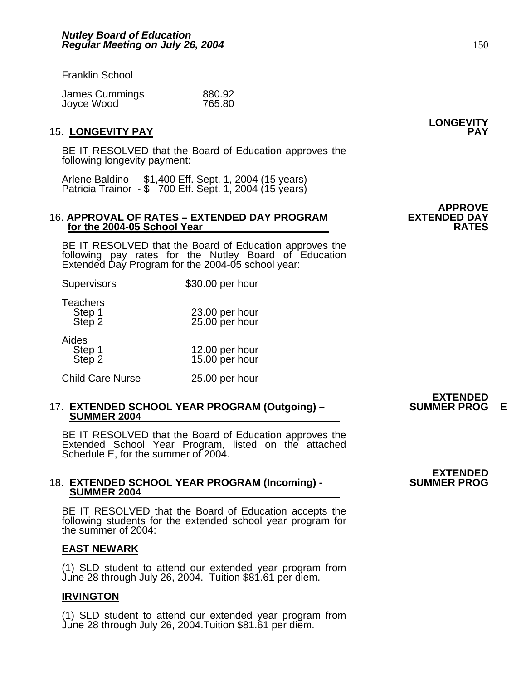#### Franklin School

| James Cummings | 880.92 |
|----------------|--------|
| Joyce Wood     | 765.80 |

#### 15. **LONGEVITY PAY PAY**

BE IT RESOLVED that the Board of Education approves the following longevity payment:

Arlene Baldino - \$1,400 Eff. Sept. 1, 2004 (15 years) Patricia Trainor - \$ 700 Eff. Sept. 1, 2004 (15 years)

#### 16. **APPROVAL OF RATES – EXTENDED DAY PROGRAM EXTENDED DAY for the 2004-05 School Year RATES RATES**

BE IT RESOLVED that the Board of Education approves the following pay rates for the Nutley Board of Education Extended Day Program for the 2004-05 school year:

| Supervisors                         | \$30.00 per hour                 |
|-------------------------------------|----------------------------------|
| <b>Teachers</b><br>Step 1<br>Step 2 | 23.00 per hour<br>25.00 per hour |
| Aides<br>Step 1<br>Step 2           | 12.00 per hour<br>15.00 per hour |
| <b>Child Care Nurse</b>             | 25.00 per hour                   |

### 17. **EXTENDED SCHOOL YEAR PROGRAM (Outgoing) – SUMMER PROG E SUMMER 2004**

BE IT RESOLVED that the Board of Education approves the Extended School Year Program, listed on the attached Schedule E, for the summer of 2004.

### 18. **EXTENDED SCHOOL YEAR PROGRAM (Incoming) - SUMMER 2004**

BE IT RESOLVED that the Board of Education accepts the following students for the extended school year program for the summer of 2004:

#### **EAST NEWARK**

(1) SLD student to attend our extended year program from June 28 through July 26, 2004. Tuition \$81.61 per diem.

#### **IRVINGTON**

(1) SLD student to attend our extended year program from June 28 through July 26, 2004.Tuition \$81.61 per diem.

## **EXTENDED**<br>SUMMER PROG

## **LONGEVITY**

# **APPROVE**<br>**EXTENDED DAY**

**EXTENDED<br>SUMMER PROG**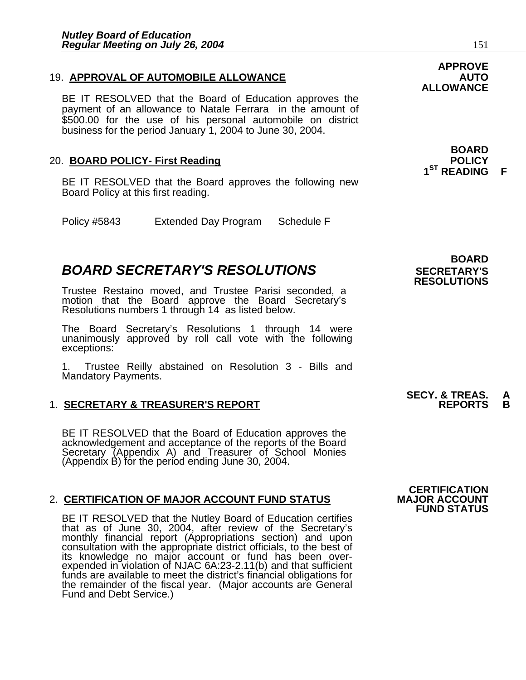### 19. **APPROVAL OF AUTOMOBILE ALLOWANCE AUTO**

BE IT RESOLVED that the Board of Education approves the payment of an allowance to Natale Ferrara in the amount of \$500.00 for the use of his personal automobile on district business for the period January 1, 2004 to June 30, 2004.

### 20. **BOARD POLICY- First Reading**

BE IT RESOLVED that the Board approves the following new Board Policy at this first reading.

Policy #5843 Extended Day Program Schedule F

### **BOARD SECRETARY'S RESOLUTIONS** SECRETARY'S

Trustee Restaino moved, and Trustee Parisi seconded, a motion that the Board approve the Board Secretary's Resolutions numbers 1 through 14 as listed below.

The Board Secretary's Resolutions 1 through 14 were unanimously approved by roll call vote with the following exceptions:

1. Trustee Reilly abstained on Resolution 3 - Bills and Mandatory Payments.

#### **1. SECRETARY & TREASURER'S REPORT**

BE IT RESOLVED that the Board of Education approves the<br>acknowledgement and acceptance of the reports of the Board<br>Secretary (Appendix A) and Treasurer of School Monies (Appendix B) for the period ending June 30, 2004.

#### 2. **CERTIFICATION OF MAJOR ACCOUNT FUND STATUS**

BE IT RESOLVED that the Nutley Board of Education certifies that as of June 30, 2004, after review of the Secretary's monthly financial report (Appropriations section) and upon consultation with the appropriate district officials, to the best of its knowledge no major account or fund has been over-<br>expended in violation of NJAC 6A:23-2.11(b) and that sufficient funds are available to meet the district's financial obligations for the remainder of the fiscal year. (Major accounts are General Fund and Debt Service.)

 **BOARD RESOLUTIONS** 

## **SECY. & TREAS. A**

 **CERTIFICATION** 

**FUND STATUS** 

### **APPROVE ALLOWANCE**

**1ST READING F** 

**BOARD**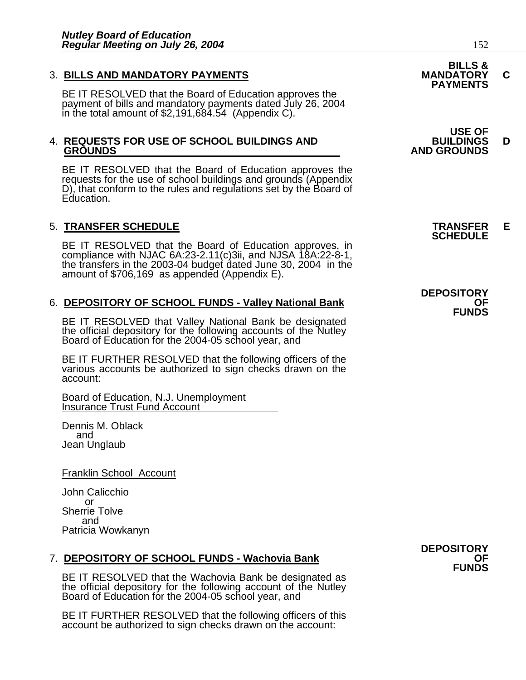3. BILLS AND MANDATORY PAYMENTS<br>BE IT RESOLVED that the Board of Education approves the **PAYMENTS** BE IT RESOLVED that the Board of Education approves the<br>payment of bills and mandatory payments dated July 26, 2004 in the total amount of \$2,191,684.54 (Appendix C).

## 4. **REQUESTS FOR USE OF SCHOOL BUILDINGS AND BUILDINGS D**

BE IT RESOLVED that the Board of Education approves the requests for the use of school buildings and grounds (Appendix D), that conform to the rules and regulations set by the Board of Education.

5. **TRANSFER SCHEDULE**<br>**BE IT RESOLVED that the Board of Education approves, in SCHEDULE**<br>**BE IT RESOLVED that the Board of Education approves, in** compliance with NJAC 6A:23-2.11(c)3ii, and NJSA 18A:22-8-1, the transfers in the 2003-04 budget dated June 30, 2004 in the amount of \$706,169 as appended (Appendix E).

6. **DEPOSITORY OF SCHOOL FUNDS - Valley National Bank OF SCHOOL FUNDS**<br>**BE IT RESOLVED that Valley National Bank be designated** the official depository for the following accounts of the Nutley Board of Education for the 2004-05 school year, and

BE IT FURTHER RESOLVED that the following officers of the various accounts be authorized to sign checks drawn on the account:

Board of Education, N.J. Unemployment Insurance Trust Fund Account

Dennis M. Oblack and Jean Unglaub

Franklin School Account

John Calicchio or Sherrie Tolve and Patricia Wowkanyn

# 7. **DEPOSITORY OF SCHOOL FUNDS - Wachovia Bank**<br>**FUNDS** BE IT RESOLVED that the Wachovia Bank be designated as

the official depository for the following account of the Nutley Board of Education for the 2004-05 school year, and

BE IT FURTHER RESOLVED that the following officers of this account be authorized to sign checks drawn on the account:

**DEPOSITORY** 

**BILLS &** 

 **USE OF GROUNDS AND GROUNDS** 

**DEPOSITORY**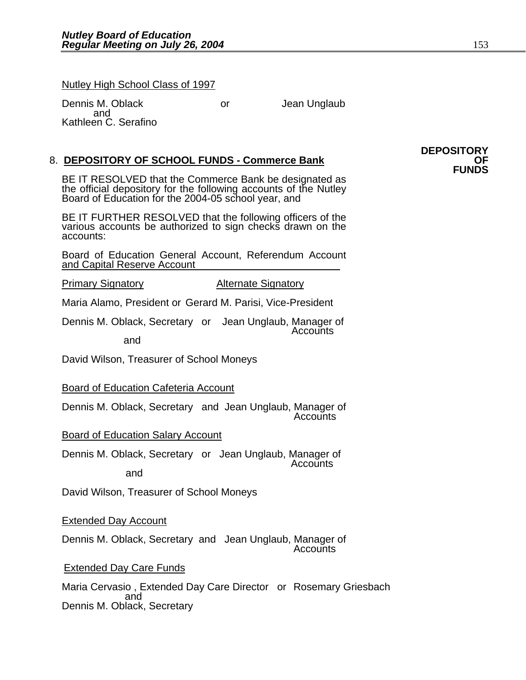Nutley High School Class of 1997

Dennis M. Oblack or San Unglaub and Sand Kathleen C. Serafino

8. **DEPOSITORY OF SCHOOL FUNDS - Commerce Bank** OF **CHOOL FUNDS**<br>**BE IT RESOLVED that the Commerce Bank be designated as PUNDS** the official depository for the following accounts of the Nutley Board of Education for the 2004-05 school year, and

BE IT FURTHER RESOLVED that the following officers of the various accounts be authorized to sign checks drawn on the accounts:

Board of Education General Account, Referendum Account and Capital Reserve Account

Primary Signatory **Alternate Signatory** 

Maria Alamo, President or Gerard M. Parisi, Vice-President

Dennis M. Oblack, Secretary or Jean Unglaub, Manager of Accounts

and

David Wilson, Treasurer of School Moneys

Board of Education Cafeteria Account

Dennis M. Oblack, Secretary and Jean Unglaub, Manager of Accounts

Board of Education Salary Account

Dennis M. Oblack, Secretary or Jean Unglaub, Manager of Accounts and

David Wilson, Treasurer of School Moneys

Extended Day Account

Dennis M. Oblack, Secretary and Jean Unglaub, Manager of Accounts

#### **Extended Day Care Funds**

Maria Cervasio , Extended Day Care Director or Rosemary Griesbach<br>and and and and Dennis M. Oblack, Secretary

**DEPOSITORY**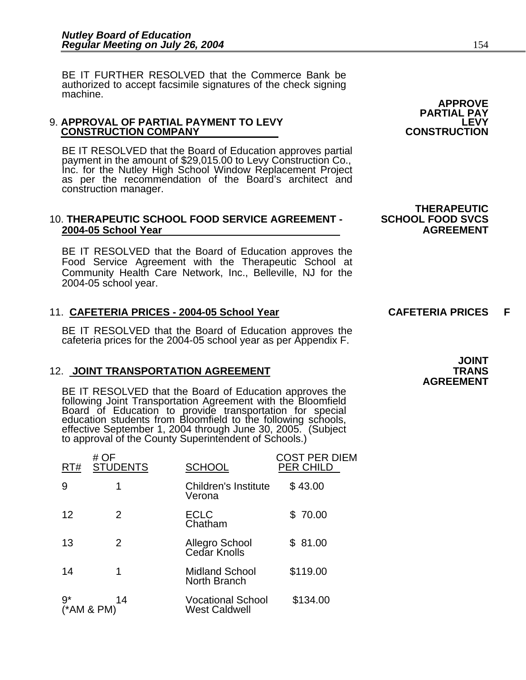BE IT FURTHER RESOLVED that the Commerce Bank be authorized to accept facsimile signatures of the check signing machine.

#### 9. **APPROVAL OF PARTIAL PAYMENT TO LEVY LEVY CONSTRUCTION COMPANY**

BE IT RESOLVED that the Board of Education approves partial payment in the amount of \$29,015.00 to Levy Construction Co., Inc. for the Nutley High School Window Replacement Project as per the recommendation of the Board's architect and construction manager.

#### 10. **THERAPEUTIC SCHOOL FOOD SERVICE AGREEMENT - SCHOOL FOOD SVCS 2004-05 School Year AGREEMENT**

BE IT RESOLVED that the Board of Education approves the Food Service Agreement with the Therapeutic School at Community Health Care Network, Inc., Belleville, NJ for the 2004-05 school year.

### 11. CAFETERIA PRICES - 2004-05 School Year **CAFETERIA PRICES** F

BE IT RESOLVED that the Board of Education approves the cafeteria prices for the 2004-05 school year as per Appendix F.

### 12. JOINT TRANSPORTATION AGREEMENT **TRANS**

BE IT RESOLVED that the Board of Education approves the following Joint Transportation Agreement with the Bloomfield Board of Education to provide transportation for special<br>education students from Bloomfield to the following schools,<br>effective September 1, 2004 through June 30, 2005. (Subject<br>to approval of the County Superintendent of

| RT#  | # OF<br><b>STUDENTS</b> | <b>SCHOOL</b>                                    | COST PER DIEM<br><b>PER CHILD</b> |
|------|-------------------------|--------------------------------------------------|-----------------------------------|
| 9    | 1                       | Children's Institute<br>Verona                   | \$43.00                           |
| 12   | 2                       | <b>ECLC</b><br>Chatham                           | \$70.00                           |
| 13   | 2                       | Allegro School<br>Cedar Knolls                   | \$81.00                           |
| 14   | 1                       | <b>Midland School</b><br>North Branch            | \$119.00                          |
| $9*$ | 14<br>$(*AM & PM)$      | <b>Vocational School</b><br><b>West Caldwell</b> | \$134.00                          |

**APPROVE PARTIAL PAY** 

**THERAPEUTIC**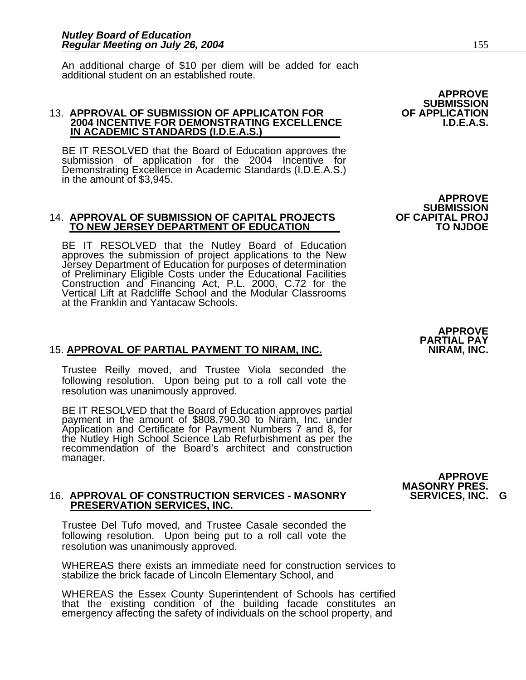An additional charge of \$10 per diem will be added for each additional student on an established route.

#### 13. **APPROVAL OF SUBMISSION OF APPLICATON FOR OF APPLICATION 2004 INCENTIVE FOR DEMONSTRATING EXCELLENCE IN ACADEMIC STANDARDS (I.D.E.A.S.)**

BE IT RESOLVED that the Board of Education approves the submission of application for the 2004 Incentive for Demonstrating Excellence in Academic Standards (I.D.E.A.S.) in the amount of \$3,945.

#### 14. **APPROVAL OF SUBMISSION OF CAPITAL PROJECTS OF CAPITAL PROJ TO NEW JERSEY DEPARTMENT OF EDUCATION**

BE IT RESOLVED that the Nutley Board of Education approves the submission of project applications to the New Jersey Department of Education for purposes of determination of Preliminary Eligible Costs under the Educational Facilities Construction and Financing Act, P.L. 2000, C.72 for the Vertical Lift at Radcliffe School and the Modular Classrooms at the Franklin and Yantacaw Schools.

### 15. APPROVAL OF PARTIAL PAYMENT TO NIRAM, INC.

Trustee Reilly moved, and Trustee Viola seconded the following resolution. Upon being put to a roll call vote the resolution was unanimously approved.

BE IT RESOLVED that the Board of Education approves partial payment in the amount of \$808,790.30 to Niram, Inc. under the Nutley High School Science Lab Refurbishment as per the recommendation of the Board's architect and construction manager.

## 16. **APPROVAL OF CONSTRUCTION SERVICES - MASONRY SERVICES, INC. G PRESERVATION SERVICES, INC.**

Trustee Del Tufo moved, and Trustee Casale seconded the following resolution. Upon being put to a roll call vote the resolution was unanimously approved.

WHEREAS there exists an immediate need for construction services to stabilize the brick facade of Lincoln Elementary School, and

WHEREAS the Essex County Superintendent of Schools has certified that the existing condition of the building facade constitutes an emergency affecting the safety of individuals on the school property, and **APPROVE PARTIAL PAY** 

**APPROVE MASONRY PRES.**

**APPROVE SUBMISSION<br>OF APPLICATION** 

**APPROVE SUBMISSION<br>OF CAPITAL PROJ**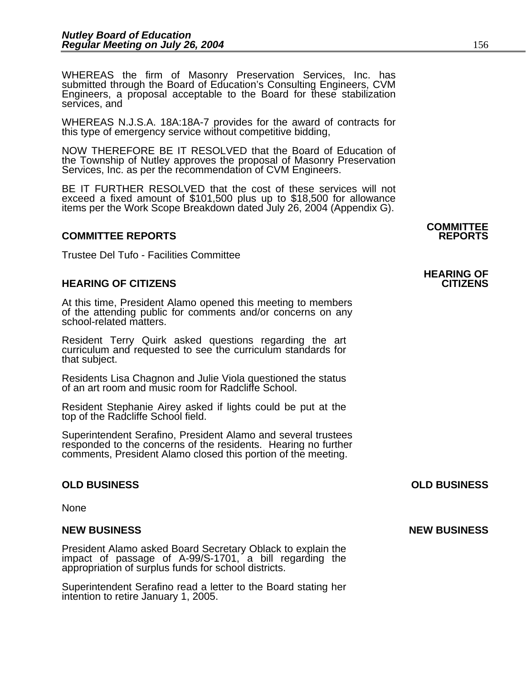WHEREAS the firm of Masonry Preservation Services, Inc. has submitted through the Board of Education's Consulting Engineers, CVM Engineers, a proposal acceptable to the Board for these stabilization services, and

WHEREAS N.J.S.A. 18A:18A-7 provides for the award of contracts for this type of emergency service without competitive bidding,

NOW THEREFORE BE IT RESOLVED that the Board of Education of the Township of Nutley approves the proposal of Masonry Preservation Services, Inc. as per the recommendation of CVM Engineers.

BE IT FURTHER RESOLVED that the cost of these services will not exceed a fixed amount of \$101,500 plus up to \$18,500 for allowance items per the Work Scope Breakdown dated July 26, 2004 (Appendix G).

#### **COMMITTEE REPORTS REPORTS**

Trustee Del Tufo - Facilities Committee

#### **HEARING OF CITIZENS CITIZENS**

At this time, President Alamo opened this meeting to members of the attending public for comments and/or concerns on any school-related matters.

Resident Terry Quirk asked questions regarding the art curriculum and requested to see the curriculum standards for that subject.

Residents Lisa Chagnon and Julie Viola questioned the status of an art room and music room for Radcliffe School.

Resident Stephanie Airey asked if lights could be put at the top of the Radcliffe School field.

Superintendent Serafino, President Alamo and several trustees responded to the concerns of the residents. Hearing no further comments, President Alamo closed this portion of the meeting.

#### **OLD BUSINESS OLD BUSINESS**

None

President Alamo asked Board Secretary Oblack to explain the impact of passage of A-99/S-1701, a bill regarding the appropriation of surplus funds for school districts.

Superintendent Serafino read a letter to the Board stating her intention to retire January 1, 2005.

**COMMITTEE** 

## **HEARING OF**

**NEW BUSINESS NEW BUSINESS**